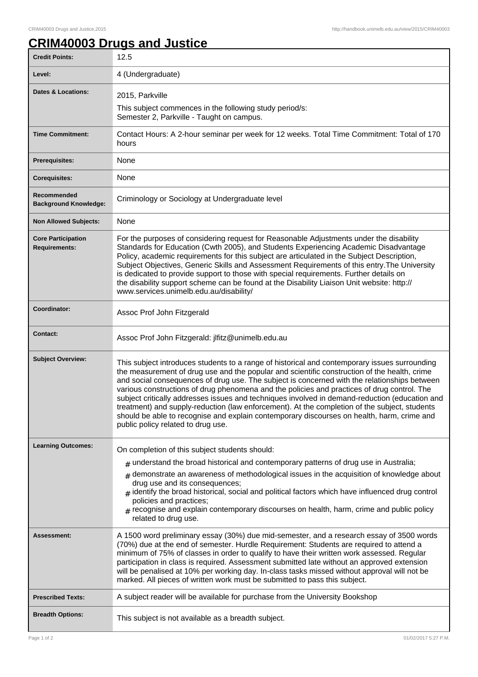## **CRIM40003 Drugs and Justice**

| <b>Credit Points:</b>                             | 12.5                                                                                                                                                                                                                                                                                                                                                                                                                                                                                                                                                                                                                                                                                                                                |
|---------------------------------------------------|-------------------------------------------------------------------------------------------------------------------------------------------------------------------------------------------------------------------------------------------------------------------------------------------------------------------------------------------------------------------------------------------------------------------------------------------------------------------------------------------------------------------------------------------------------------------------------------------------------------------------------------------------------------------------------------------------------------------------------------|
| Level:                                            | 4 (Undergraduate)                                                                                                                                                                                                                                                                                                                                                                                                                                                                                                                                                                                                                                                                                                                   |
| <b>Dates &amp; Locations:</b>                     | 2015, Parkville                                                                                                                                                                                                                                                                                                                                                                                                                                                                                                                                                                                                                                                                                                                     |
|                                                   | This subject commences in the following study period/s:<br>Semester 2, Parkville - Taught on campus.                                                                                                                                                                                                                                                                                                                                                                                                                                                                                                                                                                                                                                |
| <b>Time Commitment:</b>                           | Contact Hours: A 2-hour seminar per week for 12 weeks. Total Time Commitment: Total of 170<br>hours                                                                                                                                                                                                                                                                                                                                                                                                                                                                                                                                                                                                                                 |
| <b>Prerequisites:</b>                             | None                                                                                                                                                                                                                                                                                                                                                                                                                                                                                                                                                                                                                                                                                                                                |
| <b>Corequisites:</b>                              | None                                                                                                                                                                                                                                                                                                                                                                                                                                                                                                                                                                                                                                                                                                                                |
| Recommended<br><b>Background Knowledge:</b>       | Criminology or Sociology at Undergraduate level                                                                                                                                                                                                                                                                                                                                                                                                                                                                                                                                                                                                                                                                                     |
| <b>Non Allowed Subjects:</b>                      | None                                                                                                                                                                                                                                                                                                                                                                                                                                                                                                                                                                                                                                                                                                                                |
| <b>Core Participation</b><br><b>Requirements:</b> | For the purposes of considering request for Reasonable Adjustments under the disability<br>Standards for Education (Cwth 2005), and Students Experiencing Academic Disadvantage<br>Policy, academic requirements for this subject are articulated in the Subject Description,<br>Subject Objectives, Generic Skills and Assessment Requirements of this entry. The University<br>is dedicated to provide support to those with special requirements. Further details on<br>the disability support scheme can be found at the Disability Liaison Unit website: http://<br>www.services.unimelb.edu.au/disability/                                                                                                                    |
| Coordinator:                                      | Assoc Prof John Fitzgerald                                                                                                                                                                                                                                                                                                                                                                                                                                                                                                                                                                                                                                                                                                          |
| <b>Contact:</b>                                   | Assoc Prof John Fitzgerald: jlfitz@unimelb.edu.au                                                                                                                                                                                                                                                                                                                                                                                                                                                                                                                                                                                                                                                                                   |
| <b>Subject Overview:</b>                          | This subject introduces students to a range of historical and contemporary issues surrounding<br>the measurement of drug use and the popular and scientific construction of the health, crime<br>and social consequences of drug use. The subject is concerned with the relationships between<br>various constructions of drug phenomena and the policies and practices of drug control. The<br>subject critically addresses issues and techniques involved in demand-reduction (education and<br>treatment) and supply-reduction (law enforcement). At the completion of the subject, students<br>should be able to recognise and explain contemporary discourses on health, harm, crime and<br>public policy related to drug use. |
| <b>Learning Outcomes:</b>                         | On completion of this subject students should:                                                                                                                                                                                                                                                                                                                                                                                                                                                                                                                                                                                                                                                                                      |
|                                                   | $#$ understand the broad historical and contemporary patterns of drug use in Australia;<br>$#$ demonstrate an awareness of methodological issues in the acquisition of knowledge about<br>drug use and its consequences;<br>$#$ identify the broad historical, social and political factors which have influenced drug control<br>policies and practices;<br>$*$ recognise and explain contemporary discourses on health, harm, crime and public policy<br>related to drug use.                                                                                                                                                                                                                                                     |
| Assessment:                                       | A 1500 word preliminary essay (30%) due mid-semester, and a research essay of 3500 words<br>(70%) due at the end of semester. Hurdle Requirement: Students are required to attend a<br>minimum of 75% of classes in order to qualify to have their written work assessed. Regular<br>participation in class is required. Assessment submitted late without an approved extension<br>will be penalised at 10% per working day. In-class tasks missed without approval will not be<br>marked. All pieces of written work must be submitted to pass this subject.                                                                                                                                                                      |
| <b>Prescribed Texts:</b>                          | A subject reader will be available for purchase from the University Bookshop                                                                                                                                                                                                                                                                                                                                                                                                                                                                                                                                                                                                                                                        |
| <b>Breadth Options:</b>                           | This subject is not available as a breadth subject.                                                                                                                                                                                                                                                                                                                                                                                                                                                                                                                                                                                                                                                                                 |